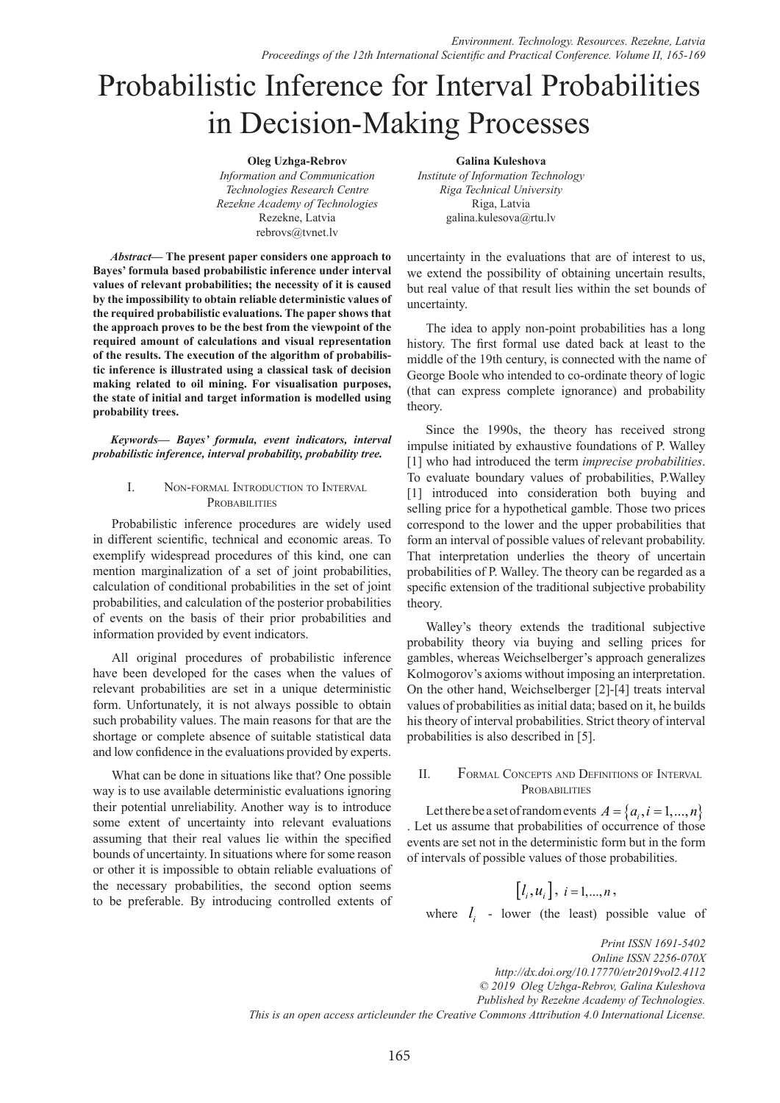# Probabilistic Inference for Interval Probabilities in Decision-Making Processes

**Oleg Uzhga-Rebrov** *Information and Communication Technologies Research Centre Rezekne Academy of Technologies*  Rezekne, Latvia rebrovs@tvnet.lv

*Abstract***— The present paper considers one approach to Bayes' formula based probabilistic inference under interval values of relevant probabilities; the necessity of it is caused by the impossibility to obtain reliable deterministic values of the required probabilistic evaluations. The paper shows that the approach proves to be the best from the viewpoint of the required amount of calculations and visual representation of the results. The execution of the algorithm of probabilistic inference is illustrated using a classical task of decision making related to oil mining. For visualisation purposes, the state of initial and target information is modelled using probability trees.**

*Keywords— Bayes' formula, event indicators, interval probabilistic inference, interval probability, probability tree.*

## I. Non-formal Introduction to Interval PROBABILITIES

Probabilistic inference procedures are widely used in different scientific, technical and economic areas. To exemplify widespread procedures of this kind, one can mention marginalization of a set of joint probabilities, calculation of conditional probabilities in the set of joint probabilities, and calculation of the posterior probabilities of events on the basis of their prior probabilities and information provided by event indicators.

All original procedures of probabilistic inference have been developed for the cases when the values of relevant probabilities are set in a unique deterministic form. Unfortunately, it is not always possible to obtain such probability values. The main reasons for that are the shortage or complete absence of suitable statistical data and low confidence in the evaluations provided by experts.

What can be done in situations like that? One possible way is to use available deterministic evaluations ignoring their potential unreliability. Another way is to introduce some extent of uncertainty into relevant evaluations assuming that their real values lie within the specified bounds of uncertainty. In situations where for some reason or other it is impossible to obtain reliable evaluations of the necessary probabilities, the second option seems to be preferable. By introducing controlled extents of

**Galina Kuleshova** *Institute of Information Technology Riga Technical University* Riga, Latvia galina.kulesova@rtu.lv

uncertainty in the evaluations that are of interest to us, we extend the possibility of obtaining uncertain results, but real value of that result lies within the set bounds of uncertainty.

The idea to apply non-point probabilities has a long history. The first formal use dated back at least to the middle of the 19th century, is connected with the name of George Boole who intended to co-ordinate theory of logic (that can express complete ignorance) and probability theory.

Since the 1990s, the theory has received strong impulse initiated by exhaustive foundations of P. Walley [1] who had introduced the term *imprecise probabilities*. To evaluate boundary values of probabilities, P.Walley [1] introduced into consideration both buying and selling price for a hypothetical gamble. Those two prices correspond to the lower and the upper probabilities that form an interval of possible values of relevant probability. That interpretation underlies the theory of uncertain probabilities of P. Walley. The theory can be regarded as a specific extension of the traditional subjective probability theory.

Walley's theory extends the traditional subjective probability theory via buying and selling prices for gambles, whereas Weichselberger's approach generalizes Kolmogorov's axioms without imposing an interpretation. On the other hand, Weichselberger [2]-[4] treats interval values of probabilities as initial data; based on it, he builds his theory of interval probabilities. Strict theory of interval probabilities is also described in [5].

## II. Formal Concepts and Definitions of Interval **PROBABILITIES**

Let there be a set of random events  $A = \{a_i, i = 1, ..., n\}$ . Let us assume that probabilities of occurrence of those events are set not in the deterministic form but in the form of intervals of possible values of those probabilities.

$$
\left[l_i, u_i\right], i = 1, \ldots, n,
$$

where  $l_i$  - lower (the least) possible value of

*Print ISSN 1691-5402 Online ISSN 2256-070X http://dx.doi.org/10.17770/etr2019vol2.4112 © 2019 Oleg Uzhga-Rebrov, Galina Kuleshova Published by Rezekne Academy of Technologies. This is an open access articleunder the Creative Commons Attribution 4.0 International License.*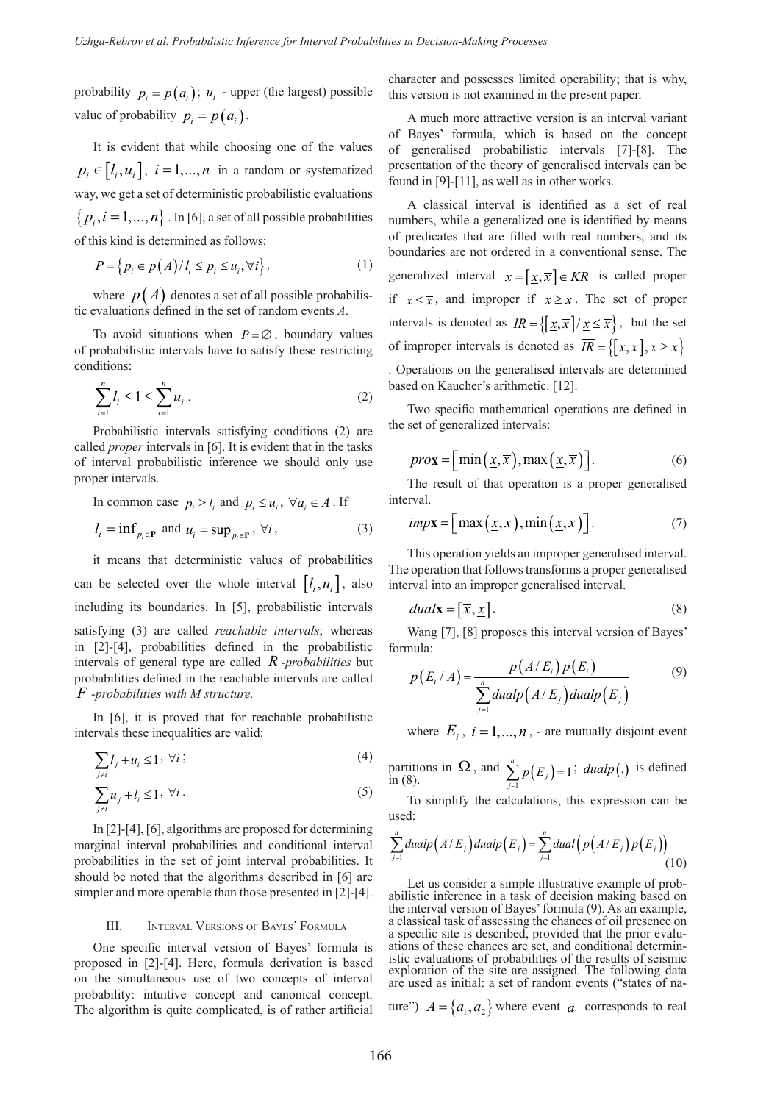probability  $p_i = p(a_i)$ ;  $u_i$  - upper (the largest) possible value of probability  $p_i = p(a_i)$ .

It is evident that while choosing one of the values  $p_i \in [l_i, u_i]$ ,  $i = 1, ..., n$  in a random or systematized way, we get a set of deterministic probabilistic evaluations  $\{p_i, i = 1,...,n\}$ . In [6], a set of all possible probabilities of this kind is determined as follows:

$$
P = \left\{ p_i \in p(A) / l_i \le p_i \le u_i, \forall i \right\},\tag{1}
$$

where  $p(A)$  denotes a set of all possible probabilistic evaluations defined in the set of random events *A*.

To avoid situations when  $P = \emptyset$ , boundary values of probabilistic intervals have to satisfy these restricting conditions:

$$
\sum_{i=1}^{n} l_i \le 1 \le \sum_{i=1}^{n} u_i \tag{2}
$$

Probabilistic intervals satisfying conditions (2) are called *proper* intervals in [6]. It is evident that in the tasks of interval probabilistic inference we should only use proper intervals.

In common case 
$$
p_i \ge l_i
$$
 and  $p_i \le u_i$ ,  $\forall a_i \in A$ . If  
\n
$$
l_i = \inf_{p_i \in \mathbf{P}} \text{ and } u_i = \sup_{p_i \in \mathbf{P}} \forall i,
$$
\n(3)

it means that deterministic values of probabilities can be selected over the whole interval  $[l_i, u_i]$ , also including its boundaries. In [5], probabilistic intervals satisfying (3) are called *reachable intervals*; whereas in [2]-[4], probabilities defined in the probabilistic intervals of general type are called *R -probabilities* but probabilities defined in the reachable intervals are called *F -probabilities with M structure.*

In [6], it is proved that for reachable probabilistic intervals these inequalities are valid:

$$
\sum_{j \neq i} l_j + u_i \leq 1, \ \forall i \tag{4}
$$

$$
\sum_{j \neq i} u_j + l_i \leq 1, \ \forall i \,.
$$

In [2]-[4], [6], algorithms are proposed for determining marginal interval probabilities and conditional interval probabilities in the set of joint interval probabilities. It should be noted that the algorithms described in [6] are simpler and more operable than those presented in [2]-[4].

### III. Interval Versions of Bayes' Formula

One specific interval version of Bayes' formula is proposed in [2]-[4]. Here, formula derivation is based on the simultaneous use of two concepts of interval probability: intuitive concept and canonical concept. The algorithm is quite complicated, is of rather artificial character and possesses limited operability; that is why, this version is not examined in the present paper.

A much more attractive version is an interval variant of Bayes' formula, which is based on the concept of generalised probabilistic intervals [7]-[8]. The presentation of the theory of generalised intervals can be found in [9]-[11], as well as in other works.

A classical interval is identified as a set of real numbers, while a generalized one is identified by means of predicates that are filled with real numbers, and its boundaries are not ordered in a conventional sense. The generalized interval  $x = [x, \overline{x}] \in KR$  is called proper if  $x \leq \overline{x}$ , and improper if  $x \geq \overline{x}$ . The set of proper intervals is denoted as  $IR = \left\{ \left[ \frac{x}{x}, \overline{x} \right] / \left[ \frac{x}{x} \right] \leq \overline{x} \right\}$ , but the set of improper intervals is denoted as  $\overline{IR} = \{ \left[ \underline{x}, \overline{x} \right], \underline{x} \ge \overline{x} \}$ . Operations on the generalised intervals are determined based on Kaucher's arithmetic. [12].

Two specific mathematical operations are defined in the set of generalized intervals:

$$
prox = \Big[ \min\left(\underline{x}, \overline{x}\right), \max\left(\underline{x}, \overline{x}\right) \Big]. \tag{6}
$$

The result of that operation is a proper generalised interval.

$$
imp\mathbf{x} = \left[ \max\left(\underline{x}, \overline{x}\right), \min\left(\underline{x}, \overline{x}\right) \right]. \tag{7}
$$

This operation yields an improper generalised interval. The operation that follows transforms a proper generalised interval into an improper generalised interval.

$$
dualx = [\overline{x}, \underline{x}]. \tag{8}
$$

Wang [7], [8] proposes this interval version of Bayes' formula:

$$
p(E_i/A) = \frac{p(A/E_i)p(E_i)}{\sum_{j=1}^n \text{dual}p(A/E_j)\text{dual}p(E_j)}
$$
(9)

where  $E_i$ ,  $i = 1, ..., n$ , - are mutually disjoint event

partitions in  $\Omega$ , and  $\sum_{j=1}^{n} p(E_j)$  in (8).  $\sum_{i=1}^{n} p(E_i) = 1$  $\sum_{j=1} P(\mathbf{\mu}_j)$ partitions in  $\Omega$ , and  $\sum_{j=1}^{n} p(E_j) = 1$ ; *dualp*(.) is defined in (8).

To simplify the calculations, this expression can be used:

$$
\sum_{j=1}^{n}dualp(A/E_{j})dualp(E_{j}) = \sum_{j=1}^{n}dual(p(A/E_{j})p(E_{j}))
$$
\n(10)

Let us consider a simple illustrative example of prob- abilistic inference in a task of decision making based on the interval version of Bayes' formula (9). As an example, a classical task of assessing the chances of oil presence on a specific site is described, provided that the prior evalu- ations of these chances are set, and conditional determin- istic evaluations of probabilities of the results of seismic exploration of the site are assigned. The following data are used as initial: a set of random events ("states of na-

ture")  $A = \{a_1, a_2\}$  where event  $a_1$  corresponds to real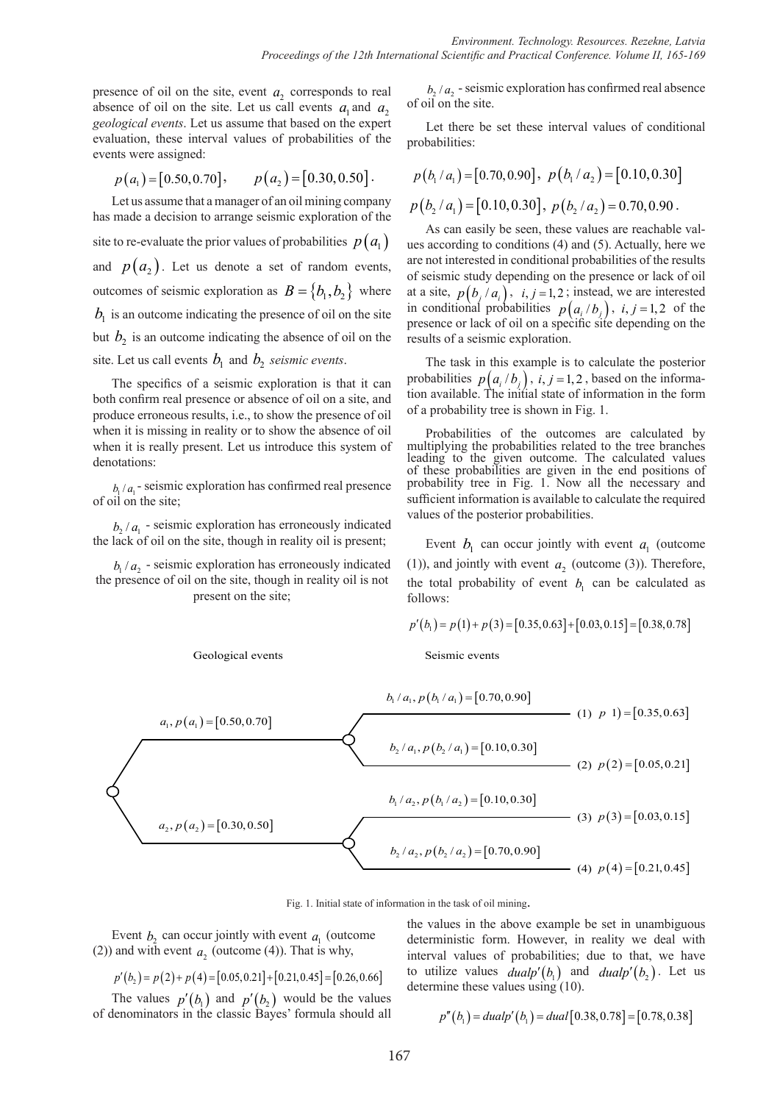presence of oil on the site, event  $a_2$  corresponds to real absence of oil on the site. Let us call events  $a_1$  and  $a_2$ *geological events*. Let us assume that based on the expert evaluation, these interval values of probabilities of the events were assigned:

$$
p(a_1) = [0.50, 0.70],
$$
  $p(a_2) = [0.30, 0.50].$ 

Let us assume that a manager of an oil mining company has made a decision to arrange seismic exploration of the site to re-evaluate the prior values of probabilities  $p(a_1)$ and  $p(a_2)$ . Let us denote a set of random events, outcomes of seismic exploration as  $B = \{b_1, b_2\}$  where  $b<sub>1</sub>$  is an outcome indicating the presence of oil on the site but  $b_2$  is an outcome indicating the absence of oil on the site. Let us call events  $b_1$  and  $b_2$  *seismic events*.

The specifics of a seismic exploration is that it can both confirm real presence or absence of oil on a site, and produce erroneous results, i.e., to show the presence of oil when it is missing in reality or to show the absence of oil when it is really present. Let us introduce this system of denotations:

 $b_1/a_1$  - seismic exploration has confirmed real presence of oil on the site;

 $b_2/a_1$  - seismic exploration has erroneously indicated the lack of oil on the site, though in reality oil is present;

 $b_1/a_2$  - seismic exploration has erroneously indicated the presence of oil on the site, though in reality oil is not present on the site;



Geological events Seismic events

 $b_2/a_2$  - seismic exploration has confirmed real absence of oil on the site.

Let there be set these interval values of conditional probabilities:

$$
p(b_1/a_1) = [0.70, 0.90], p(b_1/a_2) = [0.10, 0.30]
$$
  
 $p(b_2/a_1) = [0.10, 0.30], p(b_2/a_2) = 0.70, 0.90.$ 

As can easily be seen, these values are reachable values according to conditions (4) and (5). Actually, here we are not interested in conditional probabilities of the results of seismic study depending on the presence or lack of oil at a site,  $p(b_i/a_i)$ ,  $i, j = 1, 2$ ; instead, we are interested in conditional probabilities  $p(a_i/b_i)$ ,  $i, j = 1, 2$  of the presence or lack of oil on a specific site depending on the results of a seismic exploration.

The task in this example is to calculate the posterior probabilities  $p(a_i/b_i)$ ,  $i, j = 1, 2$ , based on the information available. The initial state of information in the form of a probability tree is shown in Fig. 1.

Probabilities of the outcomes are calculated by multiplying the probabilities related to the tree branches leading to the given outcome. The calculated values of these probabilities are given in the end positions of probability tree in Fig. 1. Now all the necessary and sufficient information is available to calculate the required values of the posterior probabilities.

Event  $b_1$  can occur jointly with event  $a_1$  (outcome (1)), and jointly with event  $a_2$  (outcome (3)). Therefore, the total probability of event  $b<sub>i</sub>$  can be calculated as follows:

$$
p'(b_1) = p(1) + p(3) = [0.35, 0.63] + [0.03, 0.15] = [0.38, 0.78]
$$

Fig. 1. Initial state of information in the task of oil mining.

Event  $b_2$  can occur jointly with event  $a_1$  (outcome (2)) and with event  $a_2$  (outcome (4)). That is why,

$$
p'(b_2) = p(2) + p(4) = [0.05, 0.21] + [0.21, 0.45] = [0.26, 0.66]
$$

The values  $p'(b_1)$  and  $p'(b_2)$  would be the values of denominators in the classic Bayes' formula should all

the values in the above example be set in unambiguous deterministic form. However, in reality we deal with interval values of probabilities; due to that, we have to utilize values  $dualp'(b<sub>1</sub>)$  and  $dualp'(b<sub>2</sub>)$ . Let us determine these values using (10).

$$
p''(b_1) = dualp'(b_1) = dual[0.38, 0.78] = [0.78, 0.38]
$$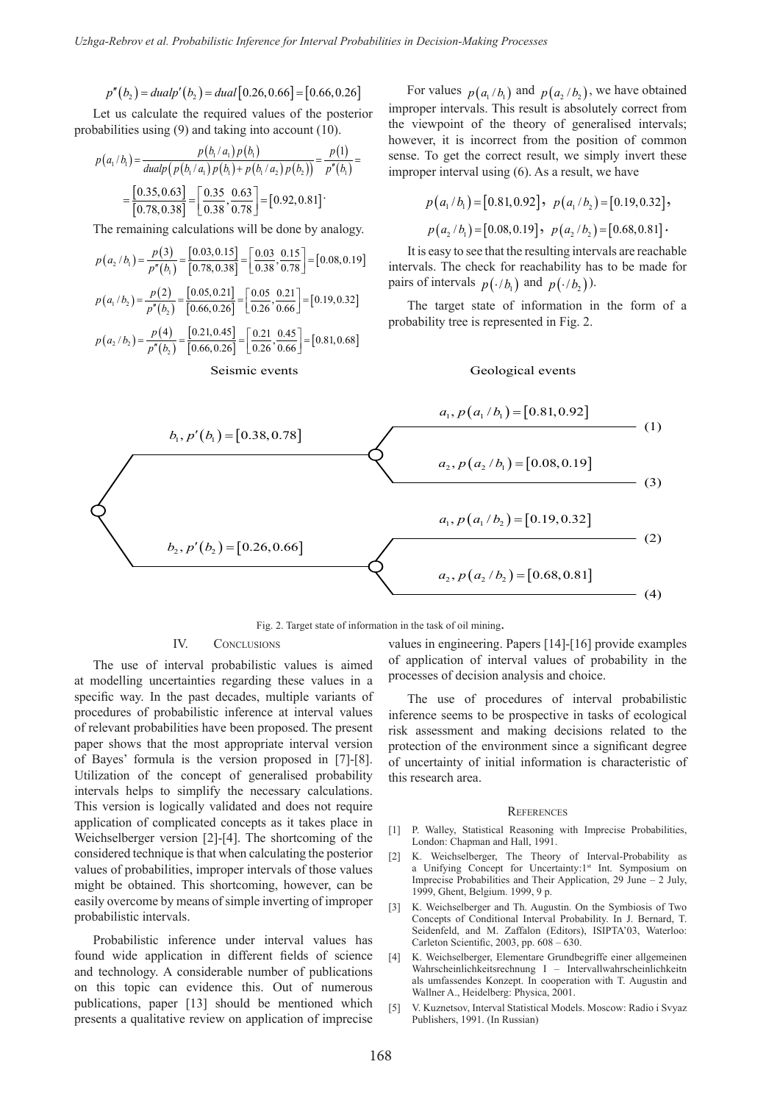$$
p''(b_2) = dualp'(b_2) = dual[0.26, 0.66] = [0.66, 0.26]
$$

Let us calculate the required values of the posterior probabilities using (9) and taking into account (10).

$$
p(a_1/b_1) = \frac{p(b_1/a_1) p(b_1)}{\text{dualp}\left(p(b_1/a_1) p(b_1) + p(b_1/a_2) p(b_2)\right)} = \frac{p(1)}{p''(b_1)} = \frac{[0.35, 0.63]}{[0.78, 0.38]} = \frac{[0.35, 0.63]}{[0.38, 0.78]} = [0.92, 0.81]
$$

The remaining calculations will be done by analogy.

$$
p(a_2/b_1) = \frac{p(3)}{p''(b_1)} = \frac{[0.03, 0.15]}{[0.78, 0.38]} = \frac{[0.03, 0.15]}{0.38, 0.78} = [0.08, 0.19]
$$
  

$$
p(a_1/b_2) = \frac{p(2)}{p''(b_2)} = \frac{[0.05, 0.21]}{[0.66, 0.26]} = \frac{[0.05, 0.21]}{0.26, 0.66} = [0.19, 0.32]
$$
  

$$
p(a_2/b_2) = \frac{p(4)}{p''(b_2)} = \frac{[0.21, 0.45]}{[0.66, 0.26]} = \frac{[0.21, 0.45]}{0.26, 0.66} = [0.81, 0.68]
$$
  
Seismic events

For values  $p(a_1/b_1)$  and  $p(a_2/b_2)$ , we have obtained improper intervals. This result is absolutely correct from the viewpoint of the theory of generalised intervals; however, it is incorrect from the position of common sense. To get the correct result, we simply invert these improper interval using (6). As a result, we have

$$
p(a_1/b_1) = [0.81, 0.92], p(a_1/b_2) = [0.19, 0.32],
$$
  

$$
p(a_2/b_1) = [0.08, 0.19], p(a_2/b_2) = [0.68, 0.81].
$$

It is easy to see that the resulting intervals are reachable intervals. The check for reachability has to be made for pairs of intervals  $p(·/b)$  and  $p(·/b)$ .

The target state of information in the form of a probability tree is represented in Fig. 2.

#### Geological events



#### Fig. 2. Target state of information in the task of oil mining.

#### IV. Conclusions

The use of interval probabilistic values is aimed at modelling uncertainties regarding these values in a specific way. In the past decades, multiple variants of procedures of probabilistic inference at interval values of relevant probabilities have been proposed. The present paper shows that the most appropriate interval version of Bayes' formula is the version proposed in [7]-[8]. Utilization of the concept of generalised probability intervals helps to simplify the necessary calculations. This version is logically validated and does not require application of complicated concepts as it takes place in Weichselberger version [2]-[4]. The shortcoming of the considered technique is that when calculating the posterior values of probabilities, improper intervals of those values might be obtained. This shortcoming, however, can be easily overcome by means of simple inverting of improper probabilistic intervals.

Probabilistic inference under interval values has found wide application in different fields of science and technology. A considerable number of publications on this topic can evidence this. Out of numerous publications, paper [13] should be mentioned which presents a qualitative review on application of imprecise

values in engineering. Papers [14]-[16] provide examples of application of interval values of probability in the processes of decision analysis and choice.

The use of procedures of interval probabilistic inference seems to be prospective in tasks of ecological risk assessment and making decisions related to the protection of the environment since a significant degree of uncertainty of initial information is characteristic of this research area.

#### **REFERENCES**

- [1] P. Walley, Statistical Reasoning with Imprecise Probabilities, London: Chapman and Hall, 1991.
- [2] K. Weichselberger, The Theory of Interval-Probability as a Unifying Concept for Uncertainty:1<sup>st</sup> Int. Symposium on Imprecise Probabilities and Their Application, 29 June – 2 July, 1999, Ghent, Belgium. 1999, 9 p.
- [3] K. Weichselberger and Th. Augustin. On the Symbiosis of Two Concepts of Conditional Interval Probability. In J. Bernard, T. Seidenfeld, and M. Zaffalon (Editors), ISIPTA'03, Waterloo: Carleton Scientific, 2003, pp. 608 – 630.
- [4] K. Weichselberger, Elementare Grundbegriffe einer allgemeinen Wahrscheinlichkeitsrechnung I – Intervallwahrscheinlichkeitn als umfassendes Konzept. In cooperation with T. Augustin and Wallner A., Heidelberg: Physica, 2001.
- [5] V. Kuznetsov, Interval Statistical Models. Moscow: Radio i Svyaz Publishers, 1991. (In Russian)